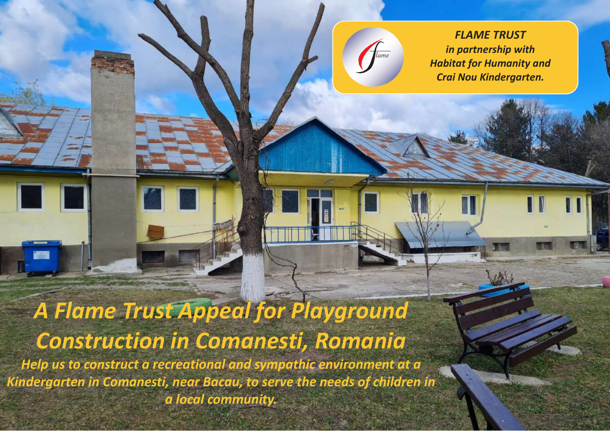*FLAME TRUST in partnership with Habitat for Humanity and Crai Nou Kindergarten.* 

# *A Flame Trust Appeal for Playground Construction in Comanesti, Romania Help us to construct a recreational and sympathic environment at a*

*Kindergarten in Comanesti, near Bacau, to serve the needs of children in a local community.*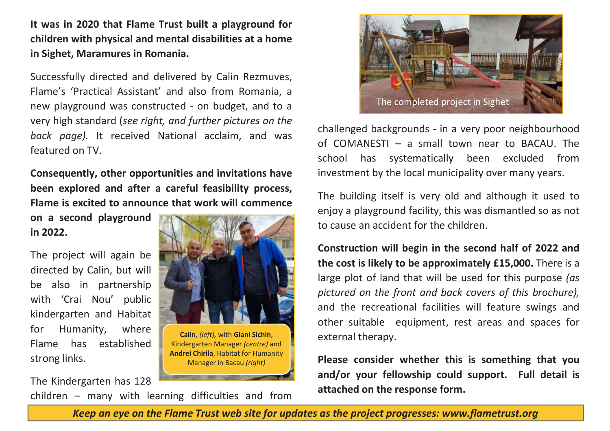**It was in 2020 that Flame Trust built a playground for children with physical and mental disabilities at a home in Sighet, Maramures in Romania.** 

Successfully directed and delivered by Calin Rezmuves, Flame's 'Practical Assistant' and also from Romania, a new playground was constructed - on budget, and to a very high standard (*see right, and further pictures on the back page).* It received National acclaim, and was featured on TV.

**Consequently, other opportunities and invitations have been explored and after a careful feasibility process, Flame is excited to announce that work will commence** 

**on a second playground in 2022.** 

The project will again be directed by Calin, but will be also in partnership with 'Crai Nou' public kindergarten and Habitat for Humanity, where Flame has established strong links.

The Kindergarten has 128 children – many with learning difficulties and from



**Calin**, *(left),* with **Giani Sichin**, Kindergarten Manager *(centre)* and **Andrei Chirila**, Habitat for Humanity Manager in Bacau *(right)* 



challenged backgrounds - in a very poor neighbourhood of COMANESTI – a small town near to BACAU. The school has systematically been excluded from investment by the local municipality over many years.

The building itself is very old and although it used to enjoy a playground facility, this was dismantled so as not to cause an accident for the children.

**Construction will begin in the second half of 2022 and the cost is likely to be approximately £15,000.** There is a large plot of land that will be used for this purpose *(as pictured on the front and back covers of this brochure),* and the recreational facilities will feature swings and other suitable equipment, rest areas and spaces for external therapy.

**Please consider whether this is something that you and/or your fellowship could support. Full detail is attached on the response form.** 

*Keep an eye on the Flame Trust web site for updates as the project progresses: www.flametrust.org*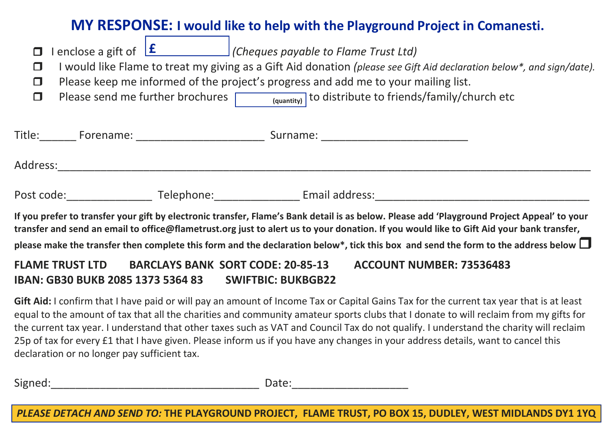# **MY RESPONSE: I would like to help with the Playground Project in Comanesti.**

| п<br>□<br>□<br>П                                                                                                                            |                     |                      | enclose a gift of $\boxed{\text{f}}$ (Cheques payable to Flame Trust Ltd)<br>I would like Flame to treat my giving as a Gift Aid donation (please see Gift Aid declaration below*, and sign/date).<br>Please keep me informed of the project's progress and add me to your mailing list.<br>Please send me further brochures $\sqrt{\frac{q_{\text{quantity}}}{q_{\text{quantity}}}}$ to distribute to friends/family/church etc |  |
|---------------------------------------------------------------------------------------------------------------------------------------------|---------------------|----------------------|----------------------------------------------------------------------------------------------------------------------------------------------------------------------------------------------------------------------------------------------------------------------------------------------------------------------------------------------------------------------------------------------------------------------------------|--|
|                                                                                                                                             |                     |                      | Surname:                                                                                                                                                                                                                                                                                                                                                                                                                         |  |
| Address:                                                                                                                                    |                     |                      |                                                                                                                                                                                                                                                                                                                                                                                                                                  |  |
|                                                                                                                                             | Post code: ________ | Telephone: Telephone | Email address:                                                                                                                                                                                                                                                                                                                                                                                                                   |  |
| If you prefer to transfer your gift by electronic transfer, Flame's Bank detail is as below. Please add 'Playground Project Appeal' to your |                     |                      |                                                                                                                                                                                                                                                                                                                                                                                                                                  |  |

**If you prefer to transfer your gift by electronic transfer, Flame's Bank detail is as below. Please add 'Playground Project Appeal' to your transfer and send an email to office@flametrust.org just to alert us to your donation. If you would like to Gift Aid your bank transfer, please make the transfer then complete this form and the declaration below\*, tick this box and send the form to the address below** 

## **FLAME TRUST LTD BARCLAYS BANK SORT CODE: 20-85-13 ACCOUNT NUMBER: 73536483 IBAN: GB30 BUKB 2085 1373 5364 83 SWIFTBIC: BUKBGB22**

**Gift Aid:** I confirm that I have paid or will pay an amount of Income Tax or Capital Gains Tax for the current tax year that is at least equal to the amount of tax that all the charities and community amateur sports clubs that I donate to will reclaim from my gifts for the current tax year. I understand that other taxes such as VAT and Council Tax do not qualify. I understand the charity will reclaim 25p of tax for every £1 that I have given. Please inform us if you have any changes in your address details, want to cancel this declaration or no longer pay sufficient tax.

Signed: The contract of the contract of the contract of Date:

*PLEASE DETACH AND SEND TO:* **THE PLAYGROUND PROJECT, FLAME TRUST, PO BOX 15, DUDLEY, WEST MIDLANDS DY1 1YQ**